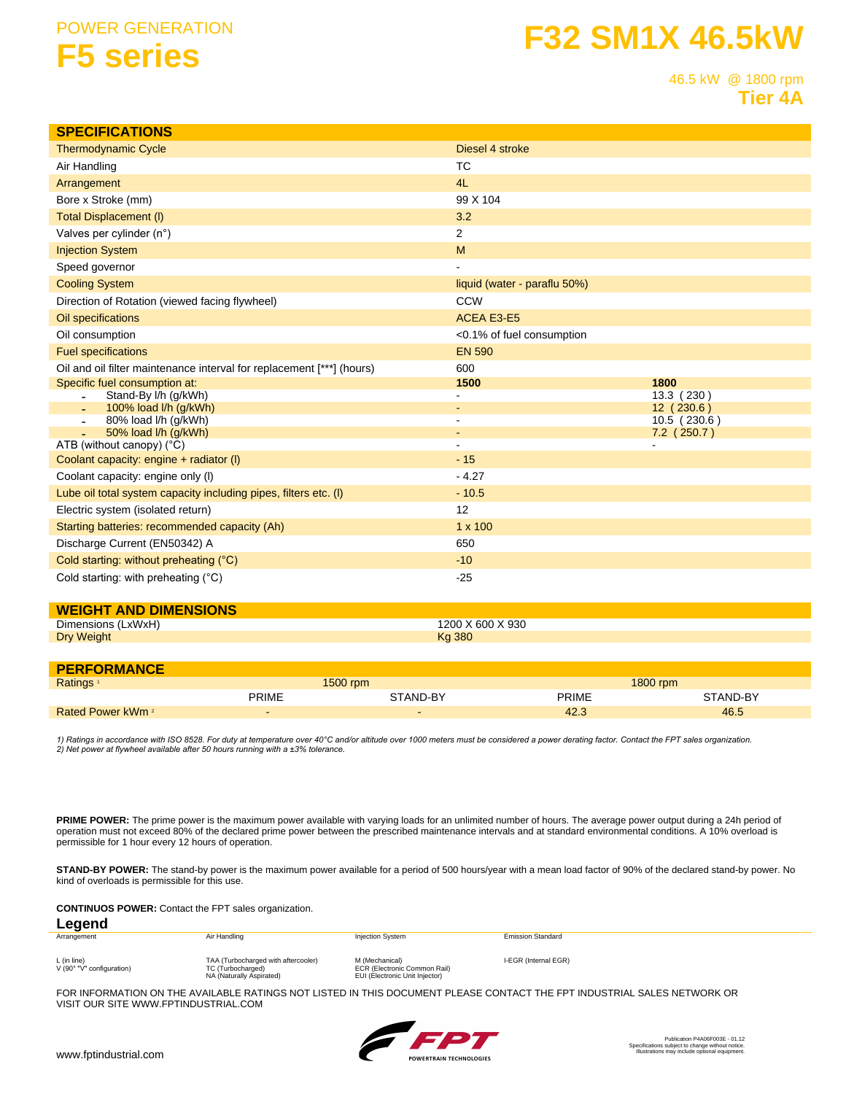## **POWER GENERATION F5 series**

# **F32 SM1X 46.5kW**

46.5 kW @ 1800 rpm **Tier 4A** 

| <b>SPECIFICATIONS</b>                                                 |                              |                           |  |
|-----------------------------------------------------------------------|------------------------------|---------------------------|--|
| <b>Thermodynamic Cycle</b>                                            | Diesel 4 stroke              |                           |  |
| Air Handling                                                          | <b>TC</b>                    |                           |  |
| Arrangement                                                           | 4L                           |                           |  |
| Bore x Stroke (mm)                                                    | 99 X 104                     |                           |  |
| <b>Total Displacement (I)</b>                                         | 3.2                          |                           |  |
| Valves per cylinder (n°)                                              | 2                            |                           |  |
| <b>Injection System</b>                                               | M                            |                           |  |
| Speed governor                                                        |                              |                           |  |
| <b>Cooling System</b>                                                 | liquid (water - paraflu 50%) |                           |  |
| Direction of Rotation (viewed facing flywheel)                        | <b>CCW</b>                   |                           |  |
| Oil specifications                                                    | <b>ACEA E3-E5</b>            |                           |  |
| Oil consumption                                                       | <0.1% of fuel consumption    |                           |  |
| <b>Fuel specifications</b>                                            | <b>EN 590</b>                |                           |  |
| Oil and oil filter maintenance interval for replacement [***] (hours) | 600                          |                           |  |
| Specific fuel consumption at:                                         | 1500                         | 1800                      |  |
| Stand-By I/h (g/kWh)                                                  |                              | 13.3 (230)                |  |
| 100% load l/h (g/kWh)<br>80% load l/h (q/kWh)<br>$\sim$               |                              | 12 (230.6)<br>10.5(230.6) |  |
| 50% load l/h (g/kWh)                                                  |                              | $7.2$ (250.7)             |  |
| ATB (without canopy) $(^{\circ}C)$                                    |                              |                           |  |
| Coolant capacity: engine + radiator (I)                               | $-15$                        |                           |  |
| Coolant capacity: engine only (I)                                     | $-4.27$                      |                           |  |
| Lube oil total system capacity including pipes, filters etc. (I)      | $-10.5$                      |                           |  |
| Electric system (isolated return)                                     | 12                           |                           |  |
| Starting batteries: recommended capacity (Ah)                         | $1 \times 100$               |                           |  |
| Discharge Current (EN50342) A                                         | 650                          |                           |  |
| Cold starting: without preheating (°C)                                | $-10$                        |                           |  |
| Cold starting: with preheating (°C)                                   | $-25$                        |                           |  |

### **WEIGHT AND DIMENSIONS**

| - -               | X 930  |
|-------------------|--------|
| :xWxH             | $\sim$ |
| Dimensions        | ,,,,,  |
| <b>Dry Weight</b> | 380    |
| . .               | Ko     |

#### **PERFORMANCE**

| <b>Ratings</b>               |       | 1500 rpm |       | 1800 rpm |  |
|------------------------------|-------|----------|-------|----------|--|
|                              | PRIME | STAND-BY | PRIME | STAND-BY |  |
| Rated Power kWm <sup>2</sup> | -     |          | 42.3  | 46.5     |  |

1) Ratings in accordance with ISO 8528. For duty at temperature over 40°C and/or altitude over 1000 meters must be considered a power derating factor. Contact the FPT sales organization. 2) Net power at flywheel available after 50 hours running with a ±3% tolerance.

PRIME POWER: The prime power is the maximum power available with varying loads for an unlimited number of hours. The average power output during a 24h period of operation must not exceed 80% of the declared prime power between the prescribed maintenance intervals and at standard environmental conditions. A 10% overload is permissible for 1 hour every 12 hours of operation.

STAND-BY POWER: The stand-by power is the maximum power available for a period of 500 hours/year with a mean load factor of 90% of the declared stand-by power. No kind of overloads is permissible for this use.

**CONTINUOS POWER:** Contact the FPT sales organization.

#### Legend Arrangement Air Handling **Injection System Emission Standard** L (in line)<br>V (90° "V" configuration) TAA (Turbocharged with aftercooler)<br>TC (Turbocharged) M (Mechanical)<br>ECR (Electronic Common Rail) I-EGR (Internal EGR) NA (Naturally Aspirated) EUI (Electronic Unit Injector)

FOR INFORMATION ON THE AVAILABLE RATINGS NOT LISTED IN THIS DOCUMENT PLEASE CONTACT THE FPT INDUSTRIAL SALES NETWORK OR VISIT OUR SITE WWW.FPTINDUSTRIAL.COM

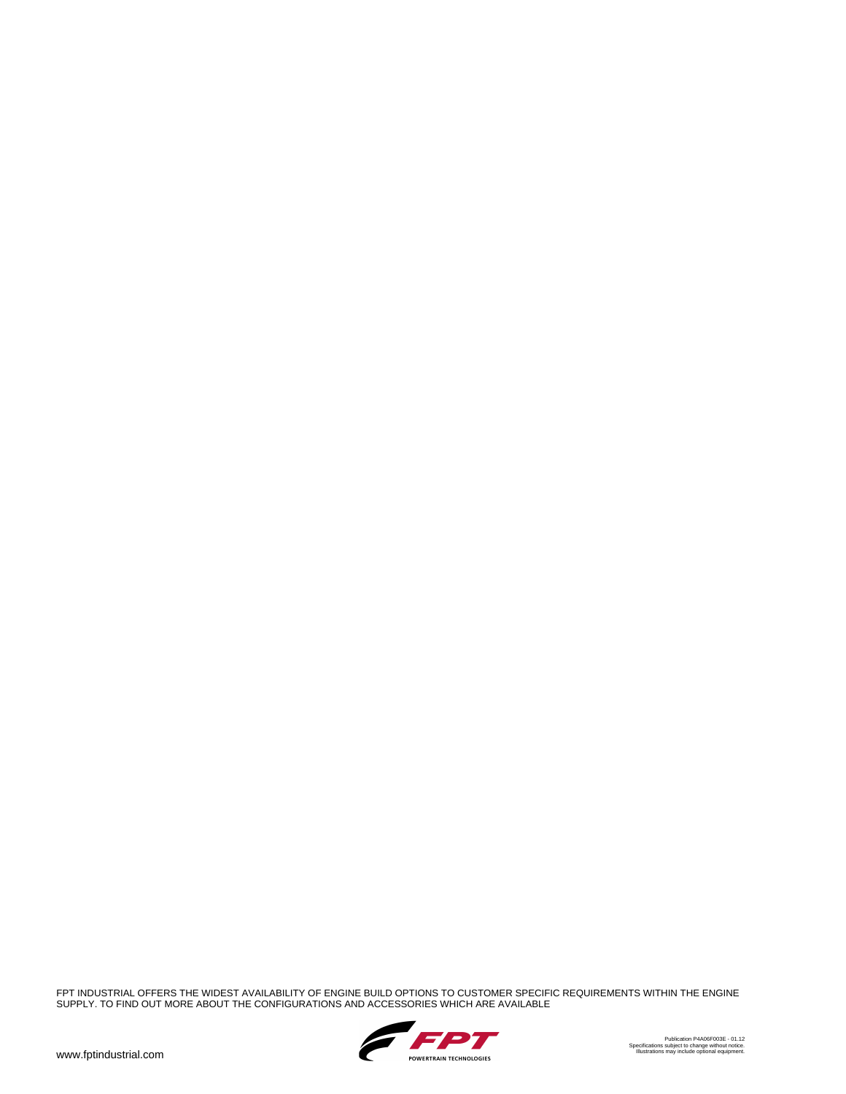FPT INDUSTRIAL OFFERS THE WIDEST AVAILABILITY OF ENGINE BUILD OPTIONS TO CUSTOMER SPECIFIC REQUIREMENTS WITHIN THE ENGINE<br>SUPPLY. TO FIND OUT MORE ABOUT THE CONFIGURATIONS AND ACCESSORIES WHICH ARE AVAILABLE